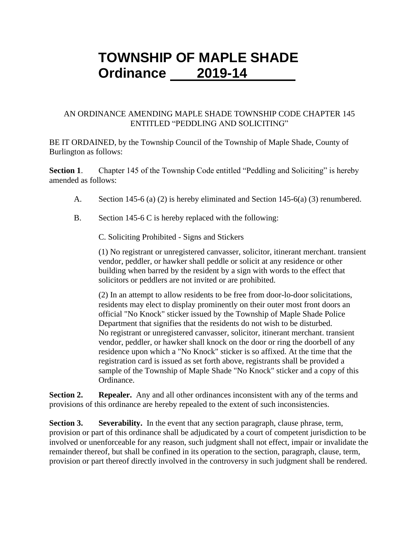# **TOWNSHIP OF MAPLE SHADE Ordinance 2019-14**

### AN ORDINANCE AMENDING MAPLE SHADE TOWNSHIP CODE CHAPTER 145 ENTITLED "PEDDLING AND SOLICITING"

BE IT ORDAINED, by the Township Council of the Township of Maple Shade, County of Burlington as follows:

**Section 1.** Chapter 145 of the Township Code entitled "Peddling and Soliciting" is hereby amended as follows:

- A. Section 145-6 (a) (2) is hereby eliminated and Section 145-6(a) (3) renumbered.
- B. Section 145-6 C is hereby replaced with the following:

C. Soliciting Prohibited - Signs and Stickers

(1) No registrant or unregistered canvasser, solicitor, itinerant merchant. transient vendor, peddler, or hawker shall peddle or solicit at any residence or other building when barred by the resident by a sign with words to the effect that solicitors or peddlers are not invited or are prohibited.

(2) In an attempt to allow residents to be free from door-lo-door solicitations, residents may elect to display prominently on their outer most front doors an official "No Knock" sticker issued by the Township of Maple Shade Police Department that signifies that the residents do not wish to be disturbed. No registrant or unregistered canvasser, solicitor, itinerant merchant. transient vendor, peddler, or hawker shall knock on the door or ring the doorbell of any residence upon which a "No Knock" sticker is so affixed. At the time that the registration card is issued as set forth above, registrants shall be provided a sample of the Township of Maple Shade "No Knock" sticker and a copy of this Ordinance.

**Section 2. Repealer.** Any and all other ordinances inconsistent with any of the terms and provisions of this ordinance are hereby repealed to the extent of such inconsistencies.

**Section 3. Severability.** In the event that any section paragraph, clause phrase, term, provision or part of this ordinance shall be adjudicated by a court of competent jurisdiction to be involved or unenforceable for any reason, such judgment shall not effect, impair or invalidate the remainder thereof, but shall be confined in its operation to the section, paragraph, clause, term, provision or part thereof directly involved in the controversy in such judgment shall be rendered.